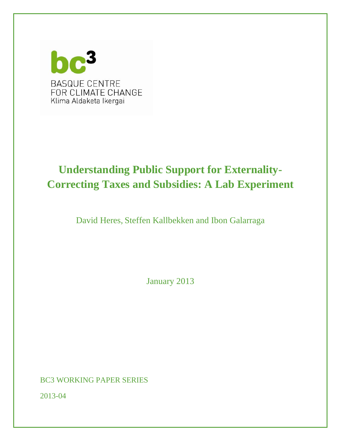

# **Understanding Public Support for Externality-Correcting Taxes and Subsidies: A Lab Experiment**

David Heres, Steffen Kallbekken and Ibon Galarraga

January 2013

BC3 WORKING PAPER SERIES

2013-04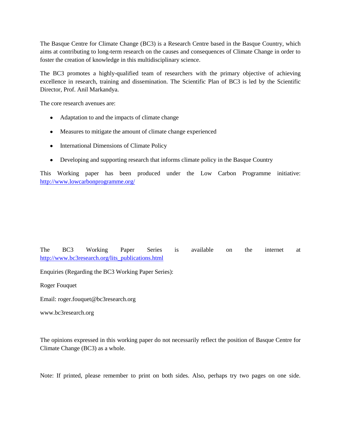The Basque Centre for Climate Change (BC3) is a Research Centre based in the Basque Country, which aims at contributing to long-term research on the causes and consequences of Climate Change in order to foster the creation of knowledge in this multidisciplinary science.

The BC3 promotes a highly-qualified team of researchers with the primary objective of achieving excellence in research, training and dissemination. The Scientific Plan of BC3 is led by the Scientific Director, Prof. Anil Markandya.

The core research avenues are:

- Adaptation to and the impacts of climate change
- Measures to mitigate the amount of climate change experienced
- International Dimensions of Climate Policy
- Developing and supporting research that informs climate policy in the Basque Country

This Working paper has been produced under the Low Carbon Programme initiative: <http://www.lowcarbonprogramme.org/>

The BC3 Working Paper Series is available on the internet at [http://www.bc3research.org/lits\\_publications.html](http://www.bc3research.org/lits_publications.html)

Enquiries (Regarding the BC3 Working Paper Series):

Roger Fouquet

Email: roger.fouquet@bc3research.org

www.bc3research.org

The opinions expressed in this working paper do not necessarily reflect the position of Basque Centre for Climate Change (BC3) as a whole.

Note: If printed, please remember to print on both sides. Also, perhaps try two pages on one side.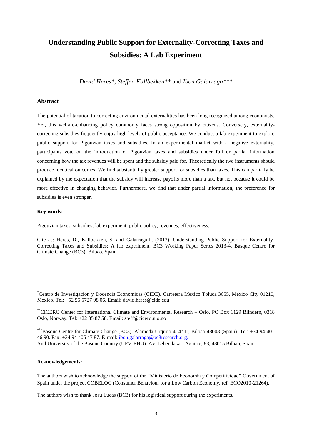## **Understanding Public Support for Externality-Correcting Taxes and Subsidies: A Lab Experiment**

*David Heres\*, Steffen Kallbekken\*\** and *Ibon Galarraga\*\*\**

#### **Abstract**

The potential of taxation to correcting environmental externalities has been long recognized among economists. Yet, this welfare-enhancing policy commonly faces strong opposition by citizens. Conversely, externalitycorrecting subsidies frequently enjoy high levels of public acceptance. We conduct a lab experiment to explore public support for Pigouvian taxes and subsidies. In an experimental market with a negative externality, participants vote on the introduction of Pigouvian taxes and subsidies under full or partial information concerning how the tax revenues will be spent and the subsidy paid for. Theoretically the two instruments should produce identical outcomes. We find substantially greater support for subsidies than taxes. This can partially be explained by the expectation that the subsidy will increase payoffs more than a tax, but not because it could be more effective in changing behavior. Furthermore, we find that under partial information, the preference for subsidies is even stronger.

#### **Key words:**

Pigouvian taxes; subsidies; lab experiment; public policy; revenues; effectiveness.

Cite as: Heres, D., Kallbekken, S. and Galarraga,I., (2013), Understanding Public Support for Externality-Correcting Taxes and Subsidies: A lab experiment, BC3 Working Paper Series 2013-4. Basque Centre for Climate Change (BC3). Bilbao, Spain.

\*Centro de Investigacion y Docencia Economicas (CIDE). Carretera Mexico Toluca 3655, Mexico City 01210, Mexico. Tel: +52 55 5727 98 06. Email: david.heres@cide.edu

\*\*CICERO Center for International Climate and Environmental Research – Oslo. PO Box 1129 Blindern, 0318 Oslo, Norway. Tel: +22 85 87 58. Email: steff@cicero.uio.no

\*\*\*Basque Centre for Climate Change (BC3). Alameda Urquijo 4, 4º 1ª, Bilbao 48008 (Spain). Tel: +34 94 401 46 90. Fax: +34 94 405 47 87. E-mail: [ibon.galarraga@bc3research.org.](mailto:ibon.galarraga@bc3research.org) And University of the Basque Country (UPV-EHU). Av. Lehendakari Aguirre, 83, 48015 Bilbao, Spain.

#### **Acknowledgements:**

The authors wish to acknowledge the support of the "Ministerio de Economía y Competitividad" Government of Spain under the project COBELOC (Consumer Behaviour for a Low Carbon Economy, ref. ECO2010-21264).

The authors wish to thank Josu Lucas (BC3) for his logistical support during the experiments.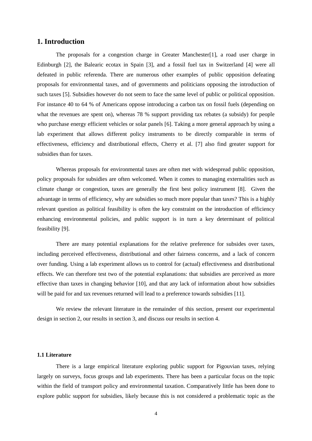## **1. Introduction**

The proposals for a congestion charge in Greater Manchester[\[1\]](#page-19-0), a road user charge in Edinburgh [\[2\]](#page-19-1), the Balearic ecotax in Spain [\[3\]](#page-19-2), and a fossil fuel tax in Switzerland [\[4\]](#page-19-3) were all defeated in public referenda. There are numerous other examples of public opposition defeating proposals for environmental taxes, and of governments and politicians opposing the introduction of such taxes [\[5\]](#page-19-4). Subsidies however do not seem to face the same level of public or political opposition. For instance 40 to 64 % of Americans oppose introducing a carbon tax on fossil fuels (depending on what the revenues are spent on), whereas 78 % support providing tax rebates (a subsidy) for people who purchase energy efficient vehicles or solar panels [\[6\]](#page-19-5). Taking a more general approach by using a lab experiment that allows different policy instruments to be directly comparable in terms of effectiveness, efficiency and distributional effects, Cherry et al. [\[7\]](#page-19-6) also find greater support for subsidies than for taxes.

Whereas proposals for environmental taxes are often met with widespread public opposition, policy proposals for subsidies are often welcomed. When it comes to managing externalities such as climate change or congestion, taxes are generally the first best policy instrument [\[8\]](#page-19-7). Given the advantage in terms of efficiency, why are subsidies so much more popular than taxes? This is a highly relevant question as political feasibility is often the key constraint on the introduction of efficiency enhancing environmental policies, and public support is in turn a key determinant of political feasibility [\[9\]](#page-19-8).

There are many potential explanations for the relative preference for subsides over taxes, including perceived effectiveness, distributional and other fairness concerns, and a lack of concern over funding. Using a lab experiment allows us to control for (actual) effectiveness and distributional effects. We can therefore test two of the potential explanations: that subsidies are perceived as more effective than taxes in changing behavior [\[10\]](#page-19-9), and that any lack of information about how subsidies will be paid for and tax revenues returned will lead to a preference towards subsidies [\[11\]](#page-19-10).

We review the relevant literature in the remainder of this section, present our experimental design in section 2, our results in section 3, and discuss our results in section 4.

#### **1.1 Literature**

There is a large empirical literature exploring public support for Pigouvian taxes, relying largely on surveys, focus groups and lab experiments. There has been a particular focus on the topic within the field of transport policy and environmental taxation. Comparatively little has been done to explore public support for subsidies, likely because this is not considered a problematic topic as the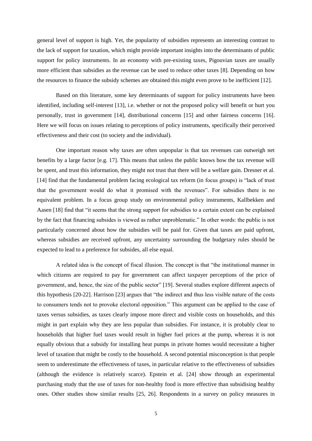general level of support is high. Yet, the popularity of subsidies represents an interesting contrast to the lack of support for taxation, which might provide important insights into the determinants of public support for policy instruments. In an economy with pre-existing taxes, Pigouvian taxes are usually more efficient than subsidies as the revenue can be used to reduce other taxes [\[8\]](#page-19-7). Depending on how the resources to finance the subsidy schemes are obtained this might even prove to be inefficient [\[12\]](#page-19-11).

Based on this literature, some key determinants of support for policy instruments have been identified, including self-interest [\[13\]](#page-20-0), i.e. whether or not the proposed policy will benefit or hurt you personally, trust in government [\[14\]](#page-20-1), distributional concerns [\[15\]](#page-20-2) and other fairness concerns [\[16\]](#page-20-3). Here we will focus on issues relating to perceptions of policy instruments, specifically their perceived effectiveness and their cost (to society and the individual).

One important reason why taxes are often unpopular is that tax revenues can outweigh net benefits by a large factor [\[e.g. 17\]](#page-20-4). This means that unless the public knows how the tax revenue will be spent, and trust this information, they might not trust that there will be a welfare gain. Dresner et al. [\[14\]](#page-20-1) find that the fundamental problem facing ecological tax reform (in focus groups) is "lack of trust that the government would do what it promised with the revenues". For subsidies there is no equivalent problem. In a focus group study on environmental policy instruments, Kallbekken and Aasen [\[18\]](#page-20-5) find that "it seems that the strong support for subsidies to a certain extent can be explained by the fact that financing subsides is viewed as rather unproblematic." In other words: the public is not particularly concerned about how the subsidies will be paid for. Given that taxes are paid upfront, whereas subsidies are received upfront, any uncertainty surrounding the budgetary rules should be expected to lead to a preference for subsides, all else equal.

A related idea is the concept of fiscal illusion. The concept is that "the institutional manner in which citizens are required to pay for government can affect taxpayer perceptions of the price of government, and, hence, the size of the public sector" [\[19\]](#page-20-6). Several studies explore different aspects of this hypothesis [\[20-22\]](#page-20-7). Harrison [\[23\]](#page-20-8) argues that "the indirect and thus less visible nature of the costs to consumers tends not to provoke electoral opposition." This argument can be applied to the case of taxes versus subsidies, as taxes clearly impose more direct and visible costs on households, and this might in part explain why they are less popular than subsidies. For instance, it is probably clear to households that higher fuel taxes would result in higher fuel prices at the pump, whereas it is not equally obvious that a subsidy for installing heat pumps in private homes would necessitate a higher level of taxation that might be costly to the household. A second potential misconception is that people seem to underestimate the effectiveness of taxes, in particular relative to the effectiveness of subsidies (although the evidence is relatively scarce). Epstein et al. [\[24\]](#page-20-9) show through an experimental purchasing study that the use of taxes for non-healthy food is more effective than subsidising healthy ones. Other studies show similar results [\[25,](#page-20-10) [26\]](#page-20-11). Respondents in a survey on policy measures in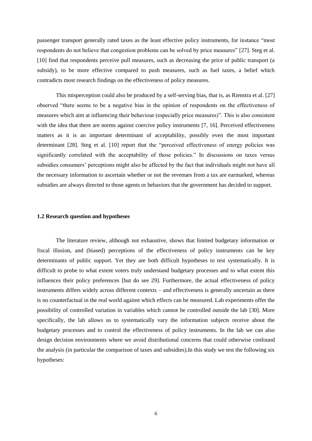passenger transport generally rated taxes as the least effective policy instruments, for instance "most respondents do not believe that congestion problems can be solved by price measures" [\[27\]](#page-21-0). Steg et al. [\[10\]](#page-19-9) find that respondents perceive pull measures, such as decreasing the price of public transport (a subsidy), to be more effective compared to push measures, such as fuel taxes, a belief which contradicts most research findings on the effectiveness of policy measures.

This misperception could also be produced by a self-serving bias, that is, as Rienstra et al. [\[27\]](#page-21-0) observed "there seems to be a negative bias in the opinion of respondents on the effectiveness of measures which aim at influencing their behaviour (especially price measures)". This is also consistent with the idea that there are norms against coercive policy instruments [\[7,](#page-19-6) [16\]](#page-20-3). Perceived effectiveness matters as it is an important determinant of acceptability, possibly even the most important determinant [\[28\]](#page-21-1). Steg et al. [\[10\]](#page-19-9) report that the "perceived effectiveness of energy policies was significantly correlated with the acceptability of those policies." In discussions on taxes versus subsidies consumers' perceptions might also be affected by the fact that individuals might not have all the necessary information to ascertain whether or not the revenues from a tax are earmarked, whereas subsidies are always directed to those agents or behaviors that the government has decided to support.

#### **1.2 Research question and hypotheses**

The literature review, although not exhaustive, shows that limited budgetary information or fiscal illusion, and (biased) perceptions of the effectiveness of policy instruments can be key determinants of public support. Yet they are both difficult hypotheses to test systematically. It is difficult to probe to what extent voters truly understand budgetary processes and to what extent this influences their policy preferences [\[but do see 29\]](#page-21-2). Furthermore, the actual effectiveness of policy instruments differs widely across different contexts – and effectiveness is generally uncertain as there is no counterfactual in the real world against which effects can be measured. Lab experiments offer the possibility of controlled variation in variables which cannot be controlled outside the lab [\[30\]](#page-21-3). More specifically, the lab allows us to systematically vary the information subjects receive about the budgetary processes and to control the effectiveness of policy instruments. In the lab we can also design decision environments where we avoid distributional concerns that could otherwise confound the analysis (in particular the comparison of taxes and subsidies).In this study we test the following six hypotheses: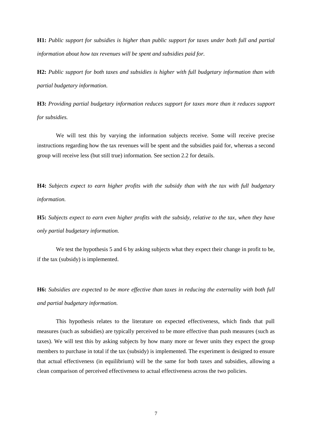**H1:** *Public support for subsidies is higher than public support for taxes under both full and partial information about how tax revenues will be spent and subsidies paid for.*

**H2:** *Public support for both taxes and subsidies is higher with full budgetary information than with partial budgetary information.*

**H3:** *Providing partial budgetary information reduces support for taxes more than it reduces support for subsidies.*

We will test this by varying the information subjects receive. Some will receive precise instructions regarding how the tax revenues will be spent and the subsidies paid for, whereas a second group will receive less (but still true) information. See section 2.2 for details.

**H4:** *Subjects expect to earn higher profits with the subsidy than with the tax with full budgetary information.*

**H5:** *Subjects expect to earn even higher profits with the subsidy, relative to the tax, when they have only partial budgetary information.*

We test the hypothesis 5 and 6 by asking subjects what they expect their change in profit to be, if the tax (subsidy) is implemented.

**H6:** *Subsidies are expected to be more effective than taxes in reducing the externality with both full and partial budgetary information.* 

This hypothesis relates to the literature on expected effectiveness, which finds that pull measures (such as subsidies) are typically perceived to be more effective than push measures (such as taxes). We will test this by asking subjects by how many more or fewer units they expect the group members to purchase in total if the tax (subsidy) is implemented. The experiment is designed to ensure that actual effectiveness (in equilibrium) will be the same for both taxes and subsidies, allowing a clean comparison of perceived effectiveness to actual effectiveness across the two policies.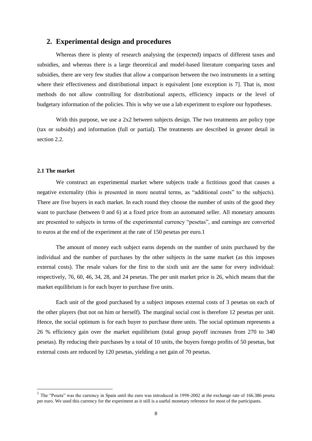## **2. Experimental design and procedures**

Whereas there is plenty of research analysing the (expected) impacts of different taxes and subsidies, and whereas there is a large theoretical and model-based literature comparing taxes and subsidies, there are very few studies that allow a comparison between the two instruments in a setting where their effectiveness and distributional impact is equivalent [\[one exception is 7\]](#page-19-6). That is, most methods do not allow controlling for distributional aspects, efficiency impacts or the level of budgetary information of the policies. This is why we use a lab experiment to explore our hypotheses.

With this purpose, we use a 2x2 between subjects design. The two treatments are policy type (tax or subsidy) and information (full or partial). The treatments are described in greater detail in section 2.2.

#### **2.1 The market**

-

We construct an experimental market where subjects trade a fictitious good that causes a negative externality (this is presented in more neutral terms, as "additional costs" to the subjects). There are five buyers in each market. In each round they choose the number of units of the good they want to purchase (between 0 and 6) at a fixed price from an automated seller. All monetary amounts are presented to subjects in terms of the experimental currency "pesetas", and earnings are converted to euros at the end of the experiment at the rate of 150 pesetas per euro.1

The amount of money each subject earns depends on the number of units purchased by the individual and the number of purchases by the other subjects in the same market (as this imposes external costs). The resale values for the first to the sixth unit are the same for every individual: respectively, 76, 60, 46, 34, 28, and 24 pesetas. The per unit market price is 26, which means that the market equilibrium is for each buyer to purchase five units.

Each unit of the good purchased by a subject imposes external costs of 3 pesetas on each of the other players (but not on him or herself). The marginal social cost is therefore 12 pesetas per unit. Hence, the social optimum is for each buyer to purchase three units. The social optimum represents a 26 % efficiency gain over the market equilibrium (total group payoff increases from 270 to 340 pesetas). By reducing their purchases by a total of 10 units, the buyers forego profits of 50 pesetas, but external costs are reduced by 120 pesetas, yielding a net gain of 70 pesetas.

<sup>&</sup>lt;sup>1</sup> The "Peseta" was the currency in Spain until the euro was introduced in 1998-2002 at the exchange rate of 166.386 peseta per euro. We used this currency for the experiment as it still is a useful monetary reference for most of the participants.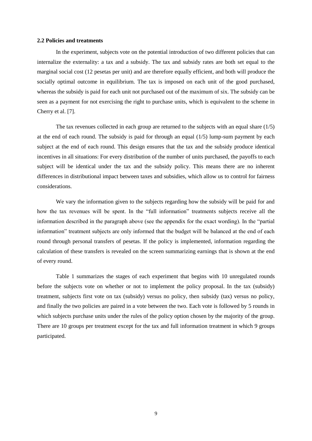#### **2.2 Policies and treatments**

In the experiment, subjects vote on the potential introduction of two different policies that can internalize the externality: a tax and a subsidy. The tax and subsidy rates are both set equal to the marginal social cost (12 pesetas per unit) and are therefore equally efficient, and both will produce the socially optimal outcome in equilibrium. The tax is imposed on each unit of the good purchased, whereas the subsidy is paid for each unit not purchased out of the maximum of six. The subsidy can be seen as a payment for not exercising the right to purchase units, which is equivalent to the scheme in Cherry et al. [\[7\]](#page-19-6).

The tax revenues collected in each group are returned to the subjects with an equal share (1/5) at the end of each round. The subsidy is paid for through an equal  $(1/5)$  lump-sum payment by each subject at the end of each round. This design ensures that the tax and the subsidy produce identical incentives in all situations: For every distribution of the number of units purchased, the payoffs to each subject will be identical under the tax and the subsidy policy. This means there are no inherent differences in distributional impact between taxes and subsidies, which allow us to control for fairness considerations.

We vary the information given to the subjects regarding how the subsidy will be paid for and how the tax revenues will be spent. In the "full information" treatments subjects receive all the information described in the paragraph above (see the appendix for the exact wording). In the "partial information" treatment subjects are only informed that the budget will be balanced at the end of each round through personal transfers of pesetas. If the policy is implemented, information regarding the calculation of these transfers is revealed on the screen summarizing earnings that is shown at the end of every round.

Table 1 summarizes the stages of each experiment that begins with 10 unregulated rounds before the subjects vote on whether or not to implement the policy proposal. In the tax (subsidy) treatment, subjects first vote on tax (subsidy) versus no policy, then subsidy (tax) versus no policy, and finally the two policies are paired in a vote between the two. Each vote is followed by 5 rounds in which subjects purchase units under the rules of the policy option chosen by the majority of the group. There are 10 groups per treatment except for the tax and full information treatment in which 9 groups participated.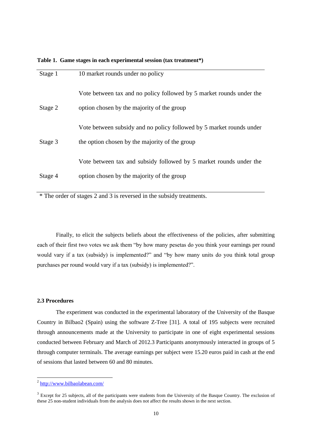| Stage 1 | 10 market rounds under no policy                                     |
|---------|----------------------------------------------------------------------|
|         | Vote between tax and no policy followed by 5 market rounds under the |
| Stage 2 | option chosen by the majority of the group                           |
|         | Vote between subsidy and no policy followed by 5 market rounds under |
| Stage 3 | the option chosen by the majority of the group                       |
|         | Vote between tax and subsidy followed by 5 market rounds under the   |
| Stage 4 | option chosen by the majority of the group                           |
|         |                                                                      |

**Table 1. Game stages in each experimental session (tax treatment\*)**

\* The order of stages 2 and 3 is reversed in the subsidy treatments.

Finally, to elicit the subjects beliefs about the effectiveness of the policies, after submitting each of their first two votes we ask them "by how many pesetas do you think your earnings per round would vary if a tax (subsidy) is implemented?" and "by how many units do you think total group purchases per round would vary if a tax (subsidy) is implemented?".

#### **2.3 Procedures**

The experiment was conducted in the experimental laboratory of the University of the Basque Country in Bilbao2 (Spain) using the software Z-Tree [\[31\]](#page-21-4). A total of 195 subjects were recruited through announcements made at the University to participate in one of eight experimental sessions conducted between February and March of 2012.3 Participants anonymously interacted in groups of 5 through computer terminals. The average earnings per subject were 15.20 euros paid in cash at the end of sessions that lasted between 60 and 80 minutes.

<sup>-&</sup>lt;br><sup>2</sup> <http://www.bilbaolabean.com/>

 $3$  Except for 25 subjects, all of the participants were students from the University of the Basque Country. The exclusion of these 25 non-student individuals from the analysis does not affect the results shown in the next section.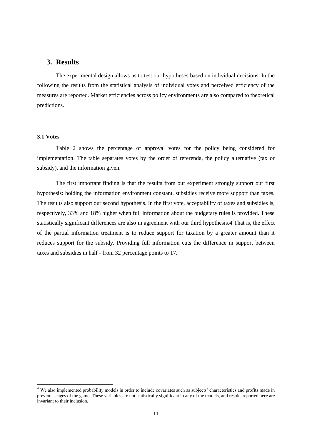## **3. Results**

The experimental design allows us to test our hypotheses based on individual decisions. In the following the results from the statistical analysis of individual votes and perceived efficiency of the measures are reported. Market efficiencies across policy environments are also compared to theoretical predictions.

## **3.1 Votes**

-

Table 2 shows the percentage of approval votes for the policy being considered for implementation. The table separates votes by the order of referenda, the policy alternative (tax or subsidy), and the information given.

The first important finding is that the results from our experiment strongly support our first hypothesis: holding the information environment constant, subsidies receive more support than taxes. The results also support our second hypothesis. In the first vote, acceptability of taxes and subsidies is, respectively, 33% and 18% higher when full information about the budgetary rules is provided. These statistically significant differences are also in agreement with our third hypothesis.4 That is, the effect of the partial information treatment is to reduce support for taxation by a greater amount than it reduces support for the subsidy. Providing full information cuts the difference in support between taxes and subsidies in half - from 32 percentage points to 17.

<sup>&</sup>lt;sup>4</sup> We also implemented probability models in order to include covariates such as subjects' characteristics and profits made in previous stages of the game. These variables are not statistically significant in any of the models, and results reported here are invariant to their inclusion.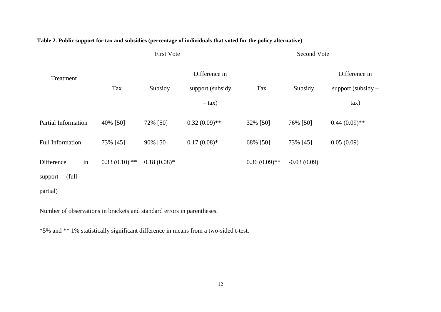|                                       | <b>First Vote</b> |                |                                                | Second Vote     |               |                                                   |
|---------------------------------------|-------------------|----------------|------------------------------------------------|-----------------|---------------|---------------------------------------------------|
| Treatment                             | Tax               | Subsidy        | Difference in<br>support (subsidy<br>$-\tan$ ) | Tax             | Subsidy       | Difference in<br>support (subsidy $-$<br>$\tan$ ) |
| Partial Information                   | 40% [50]          | 72% [50]       | $0.32(0.09)$ **                                | 32% [50]        | 76% [50]      | $0.44(0.09)$ **                                   |
| <b>Full Information</b>               | 73% [45]          | 90% [50]       | $0.17(0.08)$ *                                 | 68% [50]        | 73% [45]      | 0.05(0.09)                                        |
| in<br>Difference                      | $0.33(0.10)$ **   | $0.18(0.08)$ * |                                                | $0.36(0.09)$ ** | $-0.03(0.09)$ |                                                   |
| (full<br>support<br>$\qquad \qquad -$ |                   |                |                                                |                 |               |                                                   |
| partial)                              |                   |                |                                                |                 |               |                                                   |

## **Table 2. Public support for tax and subsidies (percentage of individuals that voted for the policy alternative)**

Number of observations in brackets and standard errors in parentheses.

\*5% and \*\* 1% statistically significant difference in means from a two-sided t-test.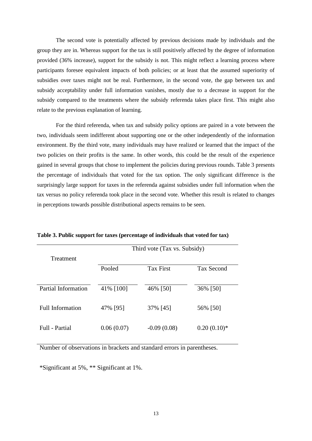The second vote is potentially affected by previous decisions made by individuals and the group they are in. Whereas support for the tax is still positively affected by the degree of information provided (36% increase), support for the subsidy is not. This might reflect a learning process where participants foresee equivalent impacts of both policies; or at least that the assumed superiority of subsidies over taxes might not be real. Furthermore, in the second vote, the gap between tax and subsidy acceptability under full information vanishes, mostly due to a decrease in support for the subsidy compared to the treatments where the subsidy referenda takes place first. This might also relate to the previous explanation of learning.

For the third referenda, when tax and subsidy policy options are paired in a vote between the two, individuals seem indifferent about supporting one or the other independently of the information environment. By the third vote, many individuals may have realized or learned that the impact of the two policies on their profits is the same. In other words, this could be the result of the experience gained in several groups that chose to implement the policies during previous rounds. Table 3 presents the percentage of individuals that voted for the tax option. The only significant difference is the surprisingly large support for taxes in the referenda against subsidies under full information when the tax versus no policy referenda took place in the second vote. Whether this result is related to changes in perceptions towards possible distributional aspects remains to be seen.

|                     |            | Third vote (Tax vs. Subsidy) |                   |  |  |  |
|---------------------|------------|------------------------------|-------------------|--|--|--|
| Treatment           |            |                              |                   |  |  |  |
|                     | Pooled     | <b>Tax First</b>             | <b>Tax Second</b> |  |  |  |
|                     |            |                              |                   |  |  |  |
| Partial Information | 41% [100]  | 46% [50]                     | 36% [50]          |  |  |  |
|                     |            |                              |                   |  |  |  |
| Full Information    | 47% [95]   | 37% [45]                     | 56% [50]          |  |  |  |
|                     |            |                              |                   |  |  |  |
| Full - Partial      | 0.06(0.07) | $-0.09(0.08)$                | $0.20(0.10)*$     |  |  |  |
|                     |            |                              |                   |  |  |  |

**Table 3. Public support for taxes (percentage of individuals that voted for tax)**

Number of observations in brackets and standard errors in parentheses.

\*Significant at 5%, \*\* Significant at 1%.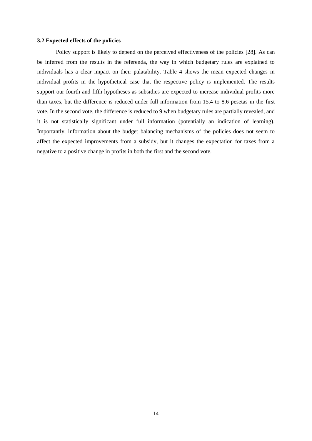#### **3.2 Expected effects of the policies**

Policy support is likely to depend on the perceived effectiveness of the policies [\[28\]](#page-21-1). As can be inferred from the results in the referenda, the way in which budgetary rules are explained to individuals has a clear impact on their palatability. Table 4 shows the mean expected changes in individual profits in the hypothetical case that the respective policy is implemented. The results support our fourth and fifth hypotheses as subsidies are expected to increase individual profits more than taxes, but the difference is reduced under full information from 15.4 to 8.6 pesetas in the first vote. In the second vote, the difference is reduced to 9 when budgetary rules are partially revealed, and it is not statistically significant under full information (potentially an indication of learning). Importantly, information about the budget balancing mechanisms of the policies does not seem to affect the expected improvements from a subsidy, but it changes the expectation for taxes from a negative to a positive change in profits in both the first and the second vote.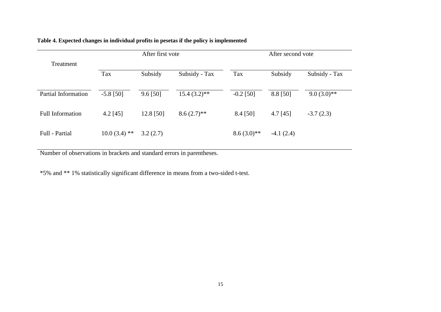|                            | After first vote |            |                | After second vote |             |               |
|----------------------------|------------------|------------|----------------|-------------------|-------------|---------------|
| Treatment                  |                  |            |                |                   |             |               |
|                            | Tax              | Subsidy    | Subsidy - Tax  | Tax               | Subsidy     | Subsidy - Tax |
|                            |                  |            |                |                   |             |               |
| <b>Partial Information</b> | $-5.8$ [50]      | $9.6$ [50] | $15.4(3.2)$ ** | $-0.2$ [50]       | 8.8 [50]    | $9.0(3.0)**$  |
| <b>Full Information</b>    | $4.2$ [45]       | 12.8 [50]  | $8.6(2.7)$ **  | $8.4$ [50]        | $4.7$ [45]  | $-3.7(2.3)$   |
|                            |                  |            |                |                   |             |               |
| Full - Partial             | $10.0(3.4)$ **   | 3.2(2.7)   |                | $8.6(3.0)**$      | $-4.1(2.4)$ |               |
|                            |                  |            |                |                   |             |               |

## **Table 4. Expected changes in individual profits in pesetas if the policy is implemented**

Number of observations in brackets and standard errors in parentheses.

\*5% and \*\* 1% statistically significant difference in means from a two-sided t-test.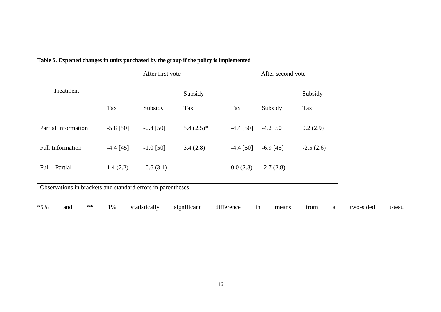|                                                              | After first vote |             |                                     | After second vote |             |             |
|--------------------------------------------------------------|------------------|-------------|-------------------------------------|-------------------|-------------|-------------|
| Treatment                                                    |                  |             | Subsidy<br>$\overline{\phantom{a}}$ |                   |             | Subsidy     |
|                                                              | Tax              | Subsidy     | Tax                                 | Tax               | Subsidy     | Tax         |
| <b>Partial Information</b>                                   | $-5.8$ [50]      | $-0.4$ [50] | $5.4(2.5)*$                         | $-4.4$ [50]       | $-4.2$ [50] | 0.2(2.9)    |
| <b>Full Information</b>                                      | $-4.4$ [45]      | $-1.0$ [50] | 3.4(2.8)                            | $-4.4$ [50]       | $-6.9$ [45] | $-2.5(2.6)$ |
| Full - Partial                                               | 1.4(2.2)         | $-0.6(3.1)$ |                                     | 0.0(2.8)          | $-2.7(2.8)$ |             |
| Observations in brackets and standard errors in parentheses. |                  |             |                                     |                   |             |             |

## **Table 5. Expected changes in units purchased by the group if the policy is implemented**

\*5% and \*\* 1% statistically significant difference in means from a two-sided t-test.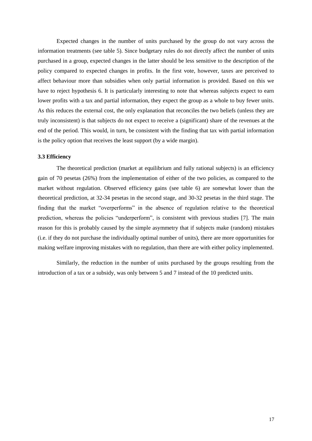Expected changes in the number of units purchased by the group do not vary across the information treatments (see table 5). Since budgetary rules do not directly affect the number of units purchased in a group, expected changes in the latter should be less sensitive to the description of the policy compared to expected changes in profits. In the first vote, however, taxes are perceived to affect behaviour more than subsidies when only partial information is provided. Based on this we have to reject hypothesis 6. It is particularly interesting to note that whereas subjects expect to earn lower profits with a tax and partial information, they expect the group as a whole to buy fewer units. As this reduces the external cost, the only explanation that reconciles the two beliefs (unless they are truly inconsistent) is that subjects do not expect to receive a (significant) share of the revenues at the end of the period. This would, in turn, be consistent with the finding that tax with partial information is the policy option that receives the least support (by a wide margin).

#### **3.3 Efficiency**

The theoretical prediction (market at equilibrium and fully rational subjects) is an efficiency gain of 70 pesetas (26%) from the implementation of either of the two policies, as compared to the market without regulation. Observed efficiency gains (see table 6) are somewhat lower than the theoretical prediction, at 32-34 pesetas in the second stage, and 30-32 pesetas in the third stage. The finding that the market "overperforms" in the absence of regulation relative to the theoretical prediction, whereas the policies "underperform", is consistent with previous studies [\[7\]](#page-19-6). The main reason for this is probably caused by the simple asymmetry that if subjects make (random) mistakes (i.e. if they do not purchase the individually optimal number of units), there are more opportunities for making welfare improving mistakes with no regulation, than there are with either policy implemented.

Similarly, the reduction in the number of units purchased by the groups resulting from the introduction of a tax or a subsidy, was only between 5 and 7 instead of the 10 predicted units.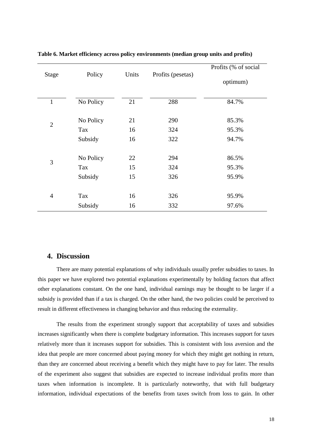| <b>Stage</b>   | Policy    | Units | Profits (pesetas) | Profits (% of social |
|----------------|-----------|-------|-------------------|----------------------|
|                |           |       |                   | optimum)             |
| $\mathbf{1}$   | No Policy | 21    | 288               | 84.7%                |
| $\overline{2}$ | No Policy | 21    | 290               | 85.3%                |
|                | Tax       | 16    | 324               | 95.3%                |
|                | Subsidy   | 16    | 322               | 94.7%                |
| 3              | No Policy | 22    | 294               | 86.5%                |
|                | Tax       | 15    | 324               | 95.3%                |
|                | Subsidy   | 15    | 326               | 95.9%                |
|                |           |       |                   |                      |
| $\overline{4}$ | Tax       | 16    | 326               | 95.9%                |
|                | Subsidy   | 16    | 332               | 97.6%                |

#### **Table 6. Market efficiency across policy environments (median group units and profits)**

## **4. Discussion**

There are many potential explanations of why individuals usually prefer subsidies to taxes. In this paper we have explored two potential explanations experimentally by holding factors that affect other explanations constant. On the one hand, individual earnings may be thought to be larger if a subsidy is provided than if a tax is charged. On the other hand, the two policies could be perceived to result in different effectiveness in changing behavior and thus reducing the externality.

The results from the experiment strongly support that acceptability of taxes and subsidies increases significantly when there is complete budgetary information. This increases support for taxes relatively more than it increases support for subsidies. This is consistent with loss aversion and the idea that people are more concerned about paying money for which they might get nothing in return, than they are concerned about receiving a benefit which they might have to pay for later. The results of the experiment also suggest that subsidies are expected to increase individual profits more than taxes when information is incomplete. It is particularly noteworthy, that with full budgetary information, individual expectations of the benefits from taxes switch from loss to gain. In other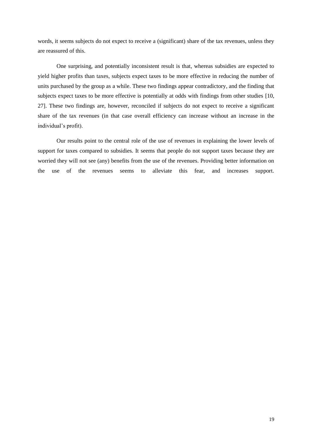words, it seems subjects do not expect to receive a (significant) share of the tax revenues, unless they are reassured of this.

One surprising, and potentially inconsistent result is that, whereas subsidies are expected to yield higher profits than taxes, subjects expect taxes to be more effective in reducing the number of units purchased by the group as a while. These two findings appear contradictory, and the finding that subjects expect taxes to be more effective is potentially at odds with findings from other studies [\[10,](#page-19-9) [27\]](#page-21-0). These two findings are, however, reconciled if subjects do not expect to receive a significant share of the tax revenues (in that case overall efficiency can increase without an increase in the individual's profit).

Our results point to the central role of the use of revenues in explaining the lower levels of support for taxes compared to subsidies. It seems that people do not support taxes because they are worried they will not see (any) benefits from the use of the revenues. Providing better information on the use of the revenues seems to alleviate this fear, and increases support.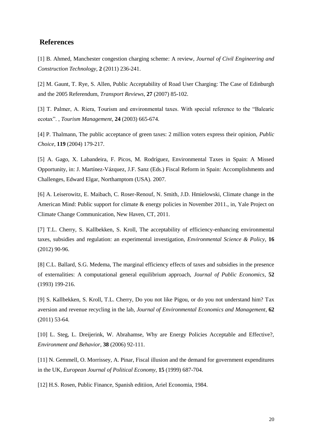## **References**

<span id="page-19-0"></span>[1] B. Ahmed, Manchester congestion charging scheme: A review, *Journal of Civil Engineering and Construction Technology*, **2** (2011) 236-241.

<span id="page-19-1"></span>[2] M. Gaunt, T. Rye, S. Allen, Public Acceptability of Road User Charging: The Case of Edinburgh and the 2005 Referendum, *Transport Reviews*, **27** (2007) 85-102.

<span id="page-19-2"></span>[3] T. Palmer, A. Riera, Tourism and environmental taxes. With special reference to the "Balearic ecotax". , *Tourism Management*, **24** (2003) 665-674.

<span id="page-19-3"></span>[4] P. Thalmann, The public acceptance of green taxes: 2 million voters express their opinion, *Public Choice*, **119** (2004) 179-217.

<span id="page-19-4"></span>[5] A. Gago, X. Labandeira, F. Picos, M. Rodríguez, Environmental Taxes in Spain: A Missed Opportunity, in: J. Martínez-Vázquez, J.F. Sanz (Eds.) Fiscal Reform in Spain: Accomplishments and Challenges, Edward Elgar, Northamptom (USA). 2007.

<span id="page-19-5"></span>[6] A. Leiserowitz, E. Maibach, C. Roser-Renouf, N. Smith, J.D. Hmielowski, Climate change in the American Mind: Public support for climate & energy policies in November 2011., in, Yale Project on Climate Change Communication, New Haven, CT, 2011.

<span id="page-19-6"></span>[7] T.L. Cherry, S. Kallbekken, S. Kroll, The acceptability of efficiency-enhancing environmental taxes, subsidies and regulation: an experimental investigation, *Environmental Science & Policy*, **16**  (2012) 90-96.

<span id="page-19-7"></span>[8] C.L. Ballard, S.G. Medema, The marginal efficiency effects of taxes and subsidies in the presence of externalities: A computational general equilibrium approach, *Journal of Public Economics*, **52**  (1993) 199-216.

<span id="page-19-8"></span>[9] S. Kallbekken, S. Kroll, T.L. Cherry, Do you not like Pigou, or do you not understand him? Tax aversion and revenue recycling in the lab, *Journal of Environmental Economics and Management*, **62**  (2011) 53-64.

<span id="page-19-9"></span>[10] L. Steg, L. Dreijerink, W. Abrahamse, Why are Energy Policies Acceptable and Effective?, *Environment and Behavior*, **38** (2006) 92-111.

<span id="page-19-10"></span>[11] N. Gemmell, O. Morrissey, A. Pinar, Fiscal illusion and the demand for government expenditures in the UK, *European Journal of Political Economy*, **15** (1999) 687-704.

<span id="page-19-11"></span>[12] H.S. Rosen, Public Finance, Spanish editiion, Ariel Economia, 1984.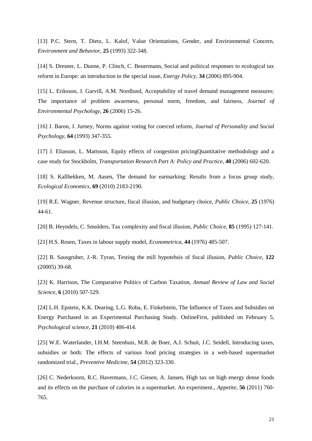<span id="page-20-0"></span>[13] P.C. Stern, T. Dietz, L. Kalof, Value Orientations, Gender, and Environmental Concern, *Environment and Behavior*, **25** (1993) 322-348.

<span id="page-20-1"></span>[14] S. Dresner, L. Dunne, P. Clinch, C. Beuermann, Social and political responses to ecological tax reform in Europe: an introduction to the special issue, *Energy Policy*, **34** (2006) 895-904.

<span id="page-20-2"></span>[15] L. Eriksson, J. Garvill, A.M. Nordlund, Acceptability of travel demand management measures: The importance of problem awareness, personal norm, freedom, and fairness, *Journal of Environmental Psychology*, **26** (2006) 15-26.

<span id="page-20-3"></span>[16] J. Baron, J. Jurney, Norms against voting for coerced reform, *Journal of Personality and Social Psychology*, **64** (1993) 347-355.

<span id="page-20-4"></span>[17] J. Eliasson, L. Mattsson, Equity effects of congestion pricingQuantitative methodology and a case study for Stockholm, *Transportation Research Part A: Policy and Practice*, **40** (2006) 602-620.

<span id="page-20-5"></span>[18] S. Kallbekken, M. Aasen, The demand for earmarking: Results from a focus group study, *Ecological Economics*, **69** (2010) 2183-2190.

<span id="page-20-6"></span>[19] R.E. Wagner, Revenue structure, fiscal illusion, and budgetary choice, *Public Choice*, **25** (1976) 44-61.

<span id="page-20-7"></span>[20] B. Heyndels, C. Smolders, Tax complexity and fiscal illusion, *Public Choice*, **85** (1995) 127-141.

[21] H.S. Rosen, Taxes in labour supply model, *Econometrica*, **44** (1976) 485-507.

[22] R. Sausgruber, J.-R. Tyran, Testing the mill hypotehsis of fiscal illusion, *Public Choice*, **122**  (20005) 39-68.

<span id="page-20-8"></span>[23] K. Harrison, The Comparative Politics of Carbon Taxation, *Annual Review of Law and Social Science*, **6** (2010) 507-529.

<span id="page-20-9"></span>[24] L.H. Epstein, K.K. Dearing, L.G. Roba, E. Finkelstein, The Influence of Taxes and Subsidies on Energy Purchased in an Experimental Purchasing Study. OnlineFirst, published on February 5, *Psychological science*, **21** (2010) 406-414.

<span id="page-20-10"></span>[25] W.E. Waterlander, I.H.M. Steenhuis, M.R. de Boer, A.J. Schuit, J.C. Seidell, Introducing taxes, subsidies or both: The effects of various food pricing strategies in a web-based supermarket randomized trial., *Preventive Medicine*, **54** (2012) 323-330.

<span id="page-20-11"></span>[26] C. Nederkoorn, R.C. Havermans, J.C. Giesen, A. Jansen, High tax on high energy dense foods and its effects on the purchase of calories in a supermarket. An experiment., *Appetite*, **56** (2011) 760- 765.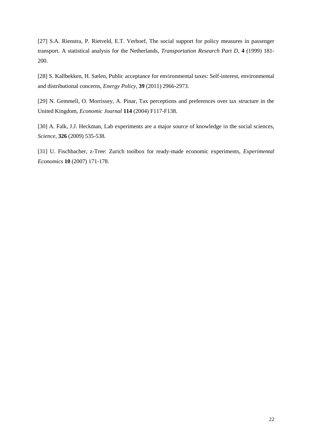<span id="page-21-0"></span>[27] S.A. Rienstra, P. Rietveld, E.T. Verhoef, The social support for policy measures in passenger transport. A statistical analysis for the Netherlands, *Transportation Research Part D*, **4** (1999) 181- 200.

<span id="page-21-1"></span>[28] S. Kallbekken, H. Sælen, Public acceptance for environmental taxes: Self-interest, environmental and distributional concerns, *Energy Policy*, **39** (2011) 2966-2973.

<span id="page-21-2"></span>[29] N. Gemmell, O. Morrissey, A. Pinar, Tax perceptions and preferences over tax structure in the United Kingdom, *Economic Journal* **114** (2004) F117-F138.

<span id="page-21-3"></span>[30] A. Falk, J.J. Heckman, Lab experiments are a major source of knowledge in the social sciences, *Science*, **326** (2009) 535-538.

<span id="page-21-4"></span>[31] U. Fischbacher, z-Tree: Zurich toolbox for ready-made economic experiments, *Experimental Economics* **10** (2007) 171-178.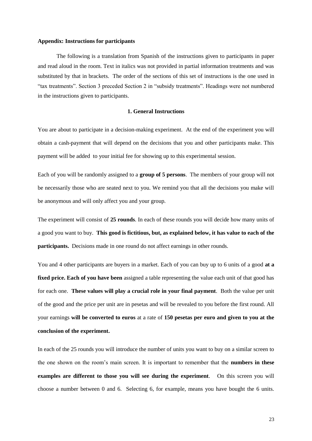#### **Appendix: Instructions for participants**

The following is a translation from Spanish of the instructions given to participants in paper and read aloud in the room. Text in italics was not provided in partial information treatments and was substituted by that in brackets. The order of the sections of this set of instructions is the one used in "tax treatments". Section 3 preceded Section 2 in "subsidy treatments". Headings were not numbered in the instructions given to participants.

#### **1. General Instructions**

You are about to participate in a decision-making experiment. At the end of the experiment you will obtain a cash-payment that will depend on the decisions that you and other participants make. This payment will be added to your initial fee for showing up to this experimental session.

Each of you will be randomly assigned to a **group of 5 persons**. The members of your group will not be necessarily those who are seated next to you. We remind you that all the decisions you make will be anonymous and will only affect you and your group.

The experiment will consist of **25 rounds**. In each of these rounds you will decide how many units of a good you want to buy. **This good is fictitious, but, as explained below, it has value to each of the participants.** Decisions made in one round do not affect earnings in other rounds.

You and 4 other participants are buyers in a market. Each of you can buy up to 6 units of a good **at a fixed price. Each of you have been** assigned a table representing the value each unit of that good has for each one. **These values will play a crucial role in your final payment**. Both the value per unit of the good and the price per unit are in pesetas and will be revealed to you before the first round. All your earnings **will be converted to euros** at a rate of **150 pesetas per euro and given to you at the conclusion of the experiment.**

In each of the 25 rounds you will introduce the number of units you want to buy on a similar screen to the one shown on the room's main screen. It is important to remember that the **numbers in these examples are different to those you will see during the experiment**. On this screen you will choose a number between 0 and 6. Selecting 6, for example, means you have bought the 6 units.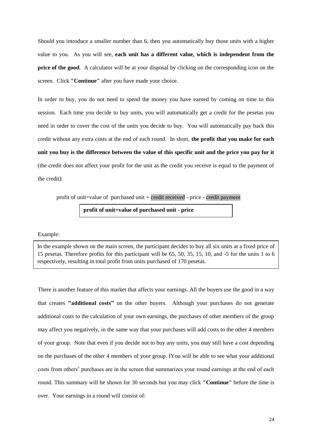Should you introduce a smaller number than 6, then you automatically buy those units with a higher value to you. As you will see, **each unit has a different value, which is independent from the price of the good**. A calculator will be at your disposal by clicking on the corresponding icon on the screen. Click **"Continue"** after you have made your choice.

In order to buy, you do not need to spend the money you have earned by coming on time to this session. Each time you decide to buy units, you will automatically get a credit for the pesetas you need in order to cover the cost of the units you decide to buy. You will automatically pay back this credit without any extra costs at the end of each round. In short, **the profit that you make for each unit you buy is the difference between the value of this specific unit and the price you pay for it**  (the credit does not affect your profit for the unit as the credit you receive is equal to the payment of the credit):

profit of unit=value of purchased unit + credit received - price - credit payment

**profit of unit=value of purchased unit - price**

#### Example:

In the example shown on the main screen, the participant decides to buy all six units at a fixed price of 15 pesetas. Therefore profits for this participant will be 65, 50, 35, 15, 10, and -5 for the units 1 to 6 respectively, resulting in total profit from units purchased of 170 pesetas.

There is another feature of this market that affects your earnings. All the buyers use the good in a way that creates **"additional costs"** on the other buyers. Although your purchases do not generate additional costs to the calculation of your own earnings, the purchases of other members of the group may affect you negatively, in the same way that your purchases will add costs to the other 4 members of your group. Note that even if you decide not to buy any units, you may still have a cost depending on the purchases of the other 4 members of your group. IYou will be able to see what your additional costs from others' purchases are in the screen that summarizes your round earnings at the end of each round. This summary will be shown for 30 seconds but you may click **"Continue"** before the time is over. Your earnings in a round will consist of: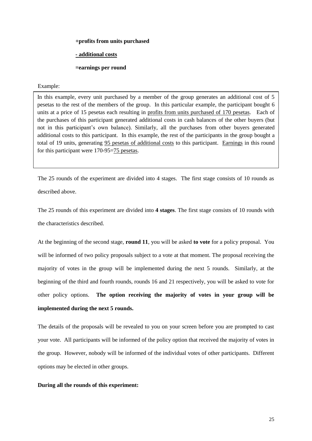#### **+profits from units purchased**

#### **- additional costs**

#### **=earnings per round**

#### Example:

In this example, every unit purchased by a member of the group generates an additional cost of 5 pesetas to the rest of the members of the group. In this particular example, the participant bought 6 units at a price of 15 pesetas each resulting in profits from units purchased of 170 pesetas. Each of the purchases of this participant generated additional costs in cash balances of the other buyers (but not in this participant's own balance). Similarly, all the purchases from other buyers generated additional costs to this participant. In this example, the rest of the participants in the group bought a total of 19 units, generating 95 pesetas of additional costs to this participant. Earnings in this round for this participant were 170-95=75 pesetas.

The 25 rounds of the experiment are divided into 4 stages. The first stage consists of 10 rounds as described above.

The 25 rounds of this experiment are divided into **4 stages**. The first stage consists of 10 rounds with the characteristics described.

At the beginning of the second stage, **round 11**, you will be asked **to vote** for a policy proposal. You will be informed of two policy proposals subject to a vote at that moment. The proposal receiving the majority of votes in the group will be implemented during the next 5 rounds. Similarly, at the beginning of the third and fourth rounds, rounds 16 and 21 respectively, you will be asked to vote for other policy options. **The option receiving the majority of votes in your group will be implemented during the next 5 rounds.**

The details of the proposals will be revealed to you on your screen before you are prompted to cast your vote. All participants will be informed of the policy option that received the majority of votes in the group. However, nobody will be informed of the individual votes of other participants. Different options may be elected in other groups.

#### **During all the rounds of this experiment:**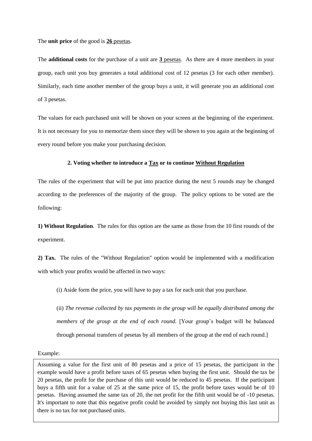The **unit price** of the good is **26** pesetas.

The **additional costs** for the purchase of a unit are **3** pesetas. As there are 4 more members in your group, each unit you buy generates a total additional cost of 12 pesetas (3 for each other member). Similarly, each time another member of the group buys a unit, it will generate you an additional cost of 3 pesetas.

The values for each purchased unit will be shown on your screen at the beginning of the experiment. It is not necessary for you to memorize them since they will be shown to you again at the beginning of every round before you make your purchasing decision.

#### **2. Voting whether to introduce a Tax or to continue Without Regulation**

The rules of the experiment that will be put into practice during the next 5 rounds may be changed according to the preferences of the majority of the group. The policy options to be voted are the following:

**1) Without Regulation**. The rules for this option are the same as those from the 10 first rounds of the experiment.

**2) Tax.** The rules of the "Without Regulation" option would be implemented with a modification with which your profits would be affected in two ways:

(i) Aside form the price, you will have to pay a tax for each unit that you purchase.

(ii) *The revenue collected by tax payments in the group will be equally distributed among the members of the group at the end of each round.* [Your group's budget will be balanced through personal transfers of pesetas by all members of the group at the end of each round.]

Example:

Assuming a value for the first unit of 80 pesetas and a price of 15 pesetas, the participant in the example would have a profit before taxes of 65 pesetas when buying the first unit. Should the tax be 20 pesetas, the profit for the purchase of this unit would be reduced to 45 pesetas. If the participant buys a fifth unit for a value of 25 at the same price of 15, the profit before taxes would be of 10 pesetas. Having assumed the same tax of 20, the net profit for the fifth unit would be of -10 pesetas. It's important to note that this negative profit could be avoided by simply not buying this last unit as there is no tax for not purchased units.

26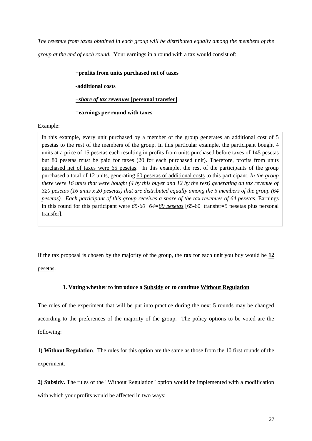*The revenue from taxes obtained in each group will be distributed equally among the members of the group at the end of each round.* Your earnings in a round with a tax would consist of:

## **+profits from units purchased net of taxes**

**-additional costs** 

## **+***share of tax revenues* **[personal transfer]**

## **=earnings per round with taxes**

Example:

In this example, every unit purchased by a member of the group generates an additional cost of 5 pesetas to the rest of the members of the group. In this particular example, the participant bought 4 units at a price of 15 pesetas each resulting in profits from units purchased before taxes of 145 pesetas but 80 pesetas must be paid for taxes (20 for each purchased unit). Therefore, profits from units purchased net of taxes were 65 pesetas. In this example, the rest of the participants of the group purchased a total of 12 units, generating 60 pesetas of additional costs to this participant. *In the group there were 16 units that were bought (4 by this buyer and 12 by the rest) generating an tax revenue of 320 pesetas (16 units x 20 pesetas) that are distributed equally among the 5 members of the group (64 pesetas). Each participant of this group receives a share of the tax revenues of 64 pesetas.* Earnings in this round for this participant were *65-60+64=89 pesetas* [65-60+transfer=5 pesetas plus personal transfer].

If the tax proposal is chosen by the majority of the group, the **tax** for each unit you buy would be **12** pesetas.

## **3. Voting whether to introduce a Subsidy or to continue Without Regulation**

The rules of the experiment that will be put into practice during the next 5 rounds may be changed according to the preferences of the majority of the group. The policy options to be voted are the following:

**1) Without Regulation**. The rules for this option are the same as those from the 10 first rounds of the experiment.

**2) Subsidy.** The rules of the "Without Regulation" option would be implemented with a modification with which your profits would be affected in two ways: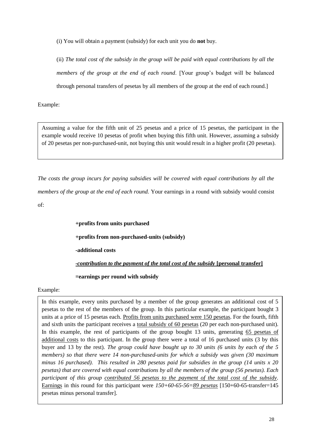(i) You will obtain a payment (subsidy) for each unit you do **not** buy.

(ii) *The total cost of the subsidy in the group will be paid with equal contributions by all the members of the group at the end of each round*. [Your group's budget will be balanced through personal transfers of pesetas by all members of the group at the end of each round.]

Example:

Assuming a value for the fifth unit of 25 pesetas and a price of 15 pesetas, the participant in the example would receive 10 pesetas of profit when buying this fifth unit. However, assuming a subsidy of 20 pesetas per non-purchased-unit, not buying this unit would result in a higher profit (20 pesetas).

*The costs the group incurs for paying subsidies will be covered with equal contributions by all the members of the group at the end of each round.* Your earnings in a round with subsidy would consist of:

> **+profits from units purchased +profits from non-purchased-units (subsidy) -additional costs -***contribution to the payment of the total cost of the subsidy* **[personal transfer] =earnings per round with subsidy**

## Example:

In this example, every units purchased by a member of the group generates an additional cost of 5 pesetas to the rest of the members of the group. In this particular example, the participant bought 3 units at a price of 15 pesetas each. Profits from units purchased were 150 pesetas. For the fourth, fifth and sixth units the participant receives a total subsidy of 60 pesetas (20 per each non-purchased unit). In this example, the rest of participants of the group bought 13 units, generating 65 pesetas of additional costs to this participant. In the group there were a total of 16 purchased units (3 by this buyer and 13 by the rest). *The group could have bought up to 30 units (6 units by each of the 5 members) so that there were 14 non-purchased-units for which a subsidy was given (30 maximum minus 16 purchased). This resulted in 280 pesetas paid for subsidies in the group (14 units x 20 pesetas) that are covered with equal contributions by all the members of the group (56 pesetas). Each participant of this group contributed 56 pesetas to the payment of the total cost of the subsidy.* Earnings in this round for this participant were *150+60-65-56=89 pesetas* [150+60-65-transfer=145 pesetas minus personal transfer].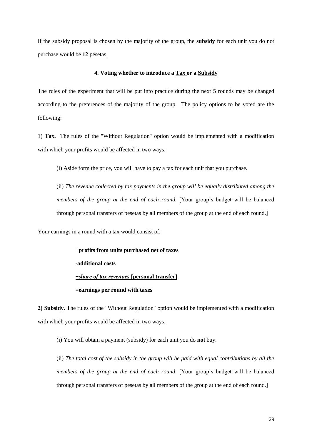If the subsidy proposal is chosen by the majority of the group, the **subsidy** for each unit you do not purchase would be **12** pesetas.

#### **4. Voting whether to introduce a Tax or a Subsidy**

The rules of the experiment that will be put into practice during the next 5 rounds may be changed according to the preferences of the majority of the group. The policy options to be voted are the following:

1) **Tax.** The rules of the "Without Regulation" option would be implemented with a modification with which your profits would be affected in two ways:

(i) Aside form the price, you will have to pay a tax for each unit that you purchase.

(ii) *The revenue collected by tax payments in the group will be equally distributed among the members of the group at the end of each round.* [Your group's budget will be balanced through personal transfers of pesetas by all members of the group at the end of each round.]

Your earnings in a round with a tax would consist of:

**+profits from units purchased net of taxes** 

**-additional costs** 

#### **+***share of tax revenues* **[personal transfer]**

#### **=earnings per round with taxes**

**2) Subsidy.** The rules of the "Without Regulation" option would be implemented with a modification with which your profits would be affected in two ways:

(i) You will obtain a payment (subsidy) for each unit you do **not** buy.

(ii) *The total cost of the subsidy in the group will be paid with equal contributions by all the members of the group at the end of each round*. [Your group's budget will be balanced through personal transfers of pesetas by all members of the group at the end of each round.]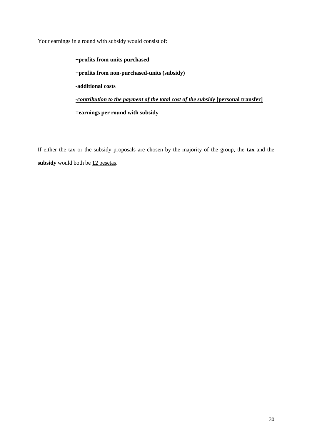Your earnings in a round with subsidy would consist of:

 **+profits from units purchased +profits from non-purchased-units (subsidy) -additional costs -***contribution to the payment of the total cost of the subsidy* **[personal transfer] =earnings per round with subsidy**

If either the tax or the subsidy proposals are chosen by the majority of the group, the **tax** and the **subsidy** would both be **12** pesetas.